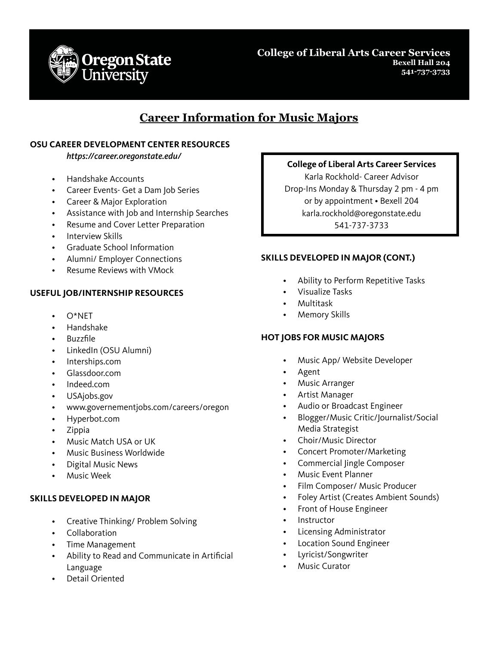

**College of Liberal Arts Career Services Bexell Hall 204 541-737-3733**

# **Career Information for Music Majors**

### **OSU CAREER DEVELOPMENT CENTER RESOURCES**

*https://career.oregonstate.edu/*

- Handshake Accounts
- Career Events- Get a Dam Job Series
- Career & Major Exploration
- Assistance with Job and Internship Searches
- Resume and Cover Letter Preparation
- Interview Skills
- Graduate School Information
- Alumni/ Employer Connections
- Resume Reviews with VMock

### **USEFUL JOB/INTERNSHIP RESOURCES**

- $O^*NFT$
- Handshake
- Buzzfile
- LinkedIn (OSU Alumni)
- Interships.com
- Glassdoor.com
- Indeed.com
- USAjobs.gov
- www.governementjobs.com/careers/oregon
- Hyperbot.com
- Zippia
- Music Match USA or UK
- Music Business Worldwide
- Digital Music News
- Music Week

#### **SKILLS DEVELOPED IN MAJOR**

- Creative Thinking/ Problem Solving
- Collaboration
- Time Management
- Ability to Read and Communicate in Artificial Language
- Detail Oriented

#### **College of Liberal Arts Career Services**

Karla Rockhold- Career Advisor Drop-Ins Monday & Thursday 2 pm - 4 pm or by appointment • Bexell 204 karla.rockhold@oregonstate.edu 541-737-3733

#### **SKILLS DEVELOPED IN MAJOR (CONT.)**

- Ability to Perform Repetitive Tasks
- Visualize Tasks
- Multitask
- Memory Skills

#### **HOT JOBS FOR MUSIC MAJORS**

- Music App/ Website Developer
- Agent
- Music Arranger
- Artist Manager
- Audio or Broadcast Engineer
- Blogger/Music Critic/Journalist/Social Media Strategist
- Choir/Music Director
- Concert Promoter/Marketing
- Commercial Jingle Composer
- Music Event Planner
- Film Composer/ Music Producer
- Foley Artist (Creates Ambient Sounds)
- Front of House Engineer
- **Instructor**
- Licensing Administrator
- Location Sound Engineer
- Lyricist/Songwriter
- **Music Curator**